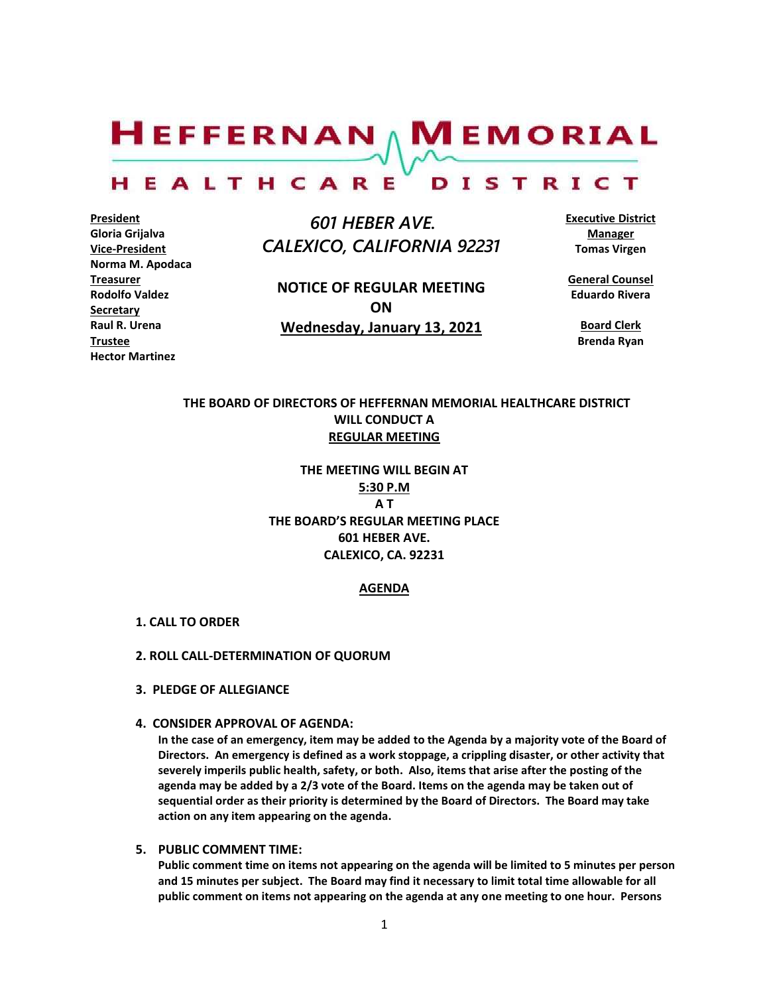$H$ EFFERNAN  $\wedge$  M EMORIAL

#### HEALTHCARE DISTRICT

**President Gloria Grijalva Vice-President Norma M. Apodaca Treasurer Rodolfo Valdez Secretary Raul R. Urena Trustee Hector Martinez**

 *601 HEBER AVE. CALEXICO, CALIFORNIA 92231*

**NOTICE OF REGULAR MEETING ON Wednesday, January 13, 2021**

**Executive District Manager Tomas Virgen**

**General Counsel Eduardo Rivera**

**Board Clerk Brenda Ryan**

# **THE BOARD OF DIRECTORS OF HEFFERNAN MEMORIAL HEALTHCARE DISTRICT WILL CONDUCT A REGULAR MEETING**

**THE MEETING WILL BEGIN AT 5:30 P.M A T THE BOARD'S REGULAR MEETING PLACE 601 HEBER AVE. CALEXICO, CA. 92231**

## **AGENDA**

- **1. CALL TO ORDER**
- **2. ROLL CALL-DETERMINATION OF QUORUM**
- **3. PLEDGE OF ALLEGIANCE**
- **4. CONSIDER APPROVAL OF AGENDA:**

**In the case of an emergency, item may be added to the Agenda by a majority vote of the Board of Directors. An emergency is defined as a work stoppage, a crippling disaster, or other activity that severely imperils public health, safety, or both. Also, items that arise after the posting of the agenda may be added by a 2/3 vote of the Board. Items on the agenda may be taken out of sequential order as their priority is determined by the Board of Directors. The Board may take action on any item appearing on the agenda.**

**5. PUBLIC COMMENT TIME:**

**Public comment time on items not appearing on the agenda will be limited to 5 minutes per person and 15 minutes per subject. The Board may find it necessary to limit total time allowable for all public comment on items not appearing on the agenda at any one meeting to one hour. Persons**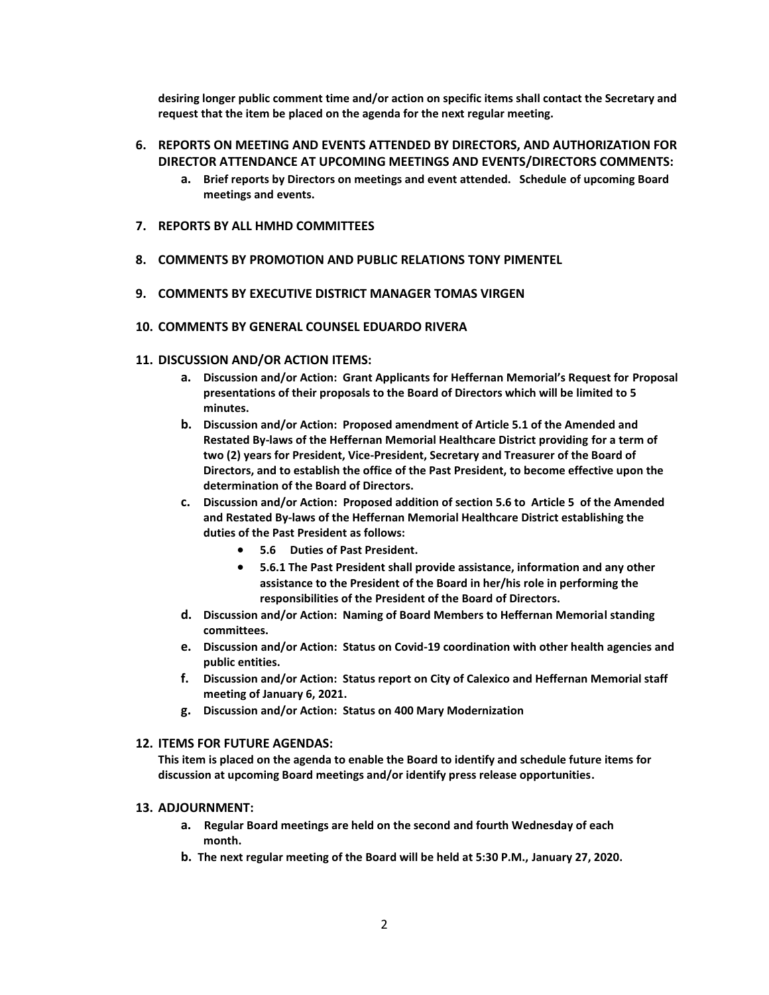**desiring longer public comment time and/or action on specific items shall contact the Secretary and request that the item be placed on the agenda for the next regular meeting.**

# **6. REPORTS ON MEETING AND EVENTS ATTENDED BY DIRECTORS, AND AUTHORIZATION FOR DIRECTOR ATTENDANCE AT UPCOMING MEETINGS AND EVENTS/DIRECTORS COMMENTS:**

- **a. Brief reports by Directors on meetings and event attended. Schedule of upcoming Board meetings and events.**
- **7. REPORTS BY ALL HMHD COMMITTEES**
- **8. COMMENTS BY PROMOTION AND PUBLIC RELATIONS TONY PIMENTEL**
- **9. COMMENTS BY EXECUTIVE DISTRICT MANAGER TOMAS VIRGEN**
- **10. COMMENTS BY GENERAL COUNSEL EDUARDO RIVERA**

#### **11. DISCUSSION AND/OR ACTION ITEMS:**

- **a. Discussion and/or Action: Grant Applicants for Heffernan Memorial's Request for Proposal presentations of their proposals to the Board of Directors which will be limited to 5 minutes.**
- **b. Discussion and/or Action: Proposed amendment of Article 5.1 of the Amended and Restated By-laws of the Heffernan Memorial Healthcare District providing for a term of two (2) years for President, Vice-President, Secretary and Treasurer of the Board of Directors, and to establish the office of the Past President, to become effective upon the determination of the Board of Directors.**
- **c. Discussion and/or Action: Proposed addition of section 5.6 to Article 5 of the Amended and Restated By-laws of the Heffernan Memorial Healthcare District establishing the duties of the Past President as follows:**
	- **5.6 Duties of Past President.**
	- **5.6.1 The Past President shall provide assistance, information and any other assistance to the President of the Board in her/his role in performing the responsibilities of the President of the Board of Directors.**
- **d. Discussion and/or Action: Naming of Board Members to Heffernan Memorial standing committees.**
- **e. Discussion and/or Action: Status on Covid-19 coordination with other health agencies and public entities.**
- **f. Discussion and/or Action: Status report on City of Calexico and Heffernan Memorial staff meeting of January 6, 2021.**
- **g. Discussion and/or Action: Status on 400 Mary Modernization**

#### **12. ITEMS FOR FUTURE AGENDAS:**

**This item is placed on the agenda to enable the Board to identify and schedule future items for discussion at upcoming Board meetings and/or identify press release opportunities.**

### **13. ADJOURNMENT:**

- **a. Regular Board meetings are held on the second and fourth Wednesday of each month.**
- **b. The next regular meeting of the Board will be held at 5:30 P.M., January 27, 2020.**